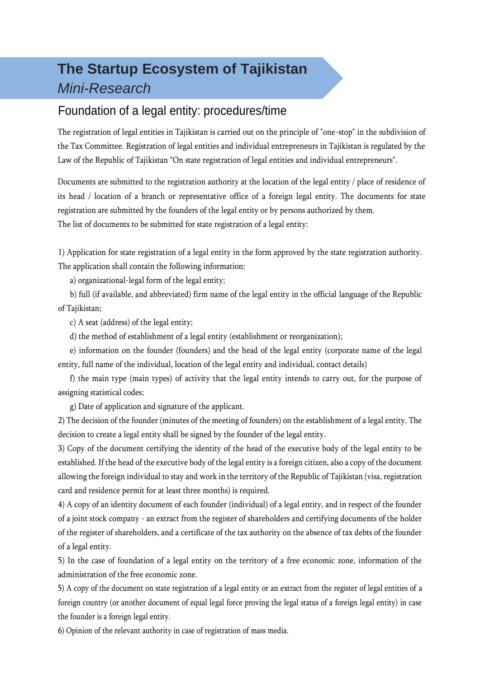# **The Startup Ecosystem of Tajikistan** *Mini-Research*

### Foundation of a legal entity: procedures/time

The registration of legal entities in Tajikistan is carried out on the principle of "one-stop" in the subdivision of the Tax Committee. Registration of legal entities and individual entrepreneurs in Tajikistan is regulated by the Law of the Republic of Tajikistan "On state registration of legal entities and individual entrepreneurs".

Documents are submitted to the registration authority at the location of the legal entity / place of residence of its head / location of a branch or representative office of a foreign legal entity. The documents for state registration are submitted by the founders of the legal entity or by persons authorized by them. The list of documents to be submitted for state registration of a legal entity:

1) Application for state registration of a legal entity in the form approved by the state registration authority. The application shall contain the following information:

a) organizational-legal form of the legal entity;

b) full (if available, and abbreviated) firm name of the legal entity in the official language of the Republic of Tajikistan;

c) A seat (address) of the legal entity;

d) the method of establishment of a legal entity (establishment or reorganization);

e) information on the founder (founders) and the head of the legal entity (corporate name of the legal entity, full name of the individual, location of the legal entity and individual, contact details)

f) the main type (main types) of activity that the legal entity intends to carry out, for the purpose of assigning statistical codes;

g) Date of application and signature of the applicant.

2) The decision of the founder (minutes of the meeting of founders) on the establishment of a legal entity. The decision to create a legal entity shall be signed by the founder of the legal entity.

3) Copy of the document certifying the identity of the head of the executive body of the legal entity to be established. If the head of the executive body of the legal entity is a foreign citizen, also a copy of the document allowing the foreign individual to stay and work in the territory of the Republic of Tajikistan (visa, registration card and residence permit for at least three months) is required.

4) A copy of an identity document of each founder (individual) of a legal entity, and in respect of the founder of a joint stock company - an extract from the register of shareholders and certifying documents of the holder of the register of shareholders, and a certificate of the tax authority on the absence of tax debts of the founder of a legal entity.

5) In the case of foundation of a legal entity on the territory of a free economic zone, information of the administration of the free economic zone.

5) A copy of the document on state registration of a legal entity or an extract from the register of legal entities of a foreign country (or another document of equal legal force proving the legal status of a foreign legal entity) in case the founder is a foreign legal entity.

6) Opinion of the relevant authority in case of registration of mass media.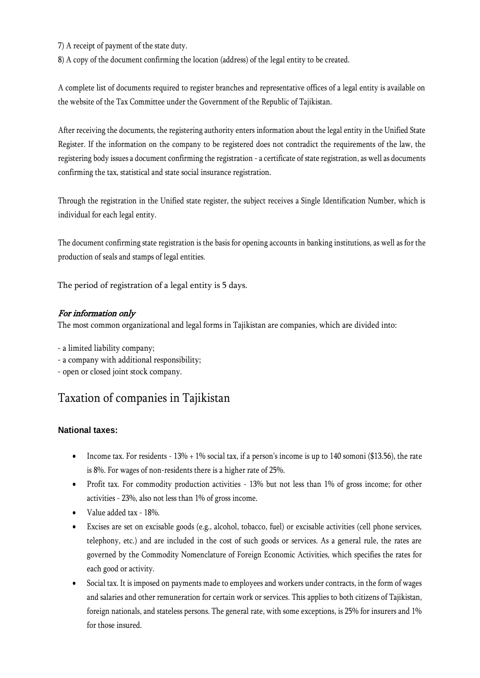7) A receipt of payment of the state duty.

8) A copy of the document confirming the location (address) of the legal entity to be created.

A complete list of documents required to register branches and representative offices of a legal entity is available on the website of the Tax Committee under the Government of the Republic of Tajikistan.

After receiving the documents, the registering authority enters information about the legal entity in the Unified State Register. If the information on the company to be registered does not contradict the requirements of the law, the registering body issues a document confirming the registration - a certificate of state registration, as well as documents confirming the tax, statistical and state social insurance registration.

Through the registration in the Unified state register, the subject receives a Single Identification Number, which is individual for each legal entity.

The document confirming state registration is the basis for opening accounts in banking institutions, as well as for the production of seals and stamps of legal entities.

The period of registration of a legal entity is 5 days.

#### For information only

The most common organizational and legal forms in Tajikistan are companies, which are divided into:

- a limited liability company;

- a company with additional responsibility;
- open or closed joint stock company.

## Taxation of companies in Tajikistan

#### **National taxes:**

- Income tax. For residents  $-13\% + 1\%$  social tax, if a person's income is up to 140 somoni (\$13.56), the rate is 8%. For wages of non-residents there is a higher rate of 25%.
- Profit tax. For commodity production activities 13% but not less than 1% of gross income; for other activities - 23%, also not less than 1% of gross income.
- Value added tax 18%.
- Excises are set on excisable goods (e.g., alcohol, tobacco, fuel) or excisable activities (cell phone services, telephony, etc.) and are included in the cost of such goods or services. As a general rule, the rates are governed by the Commodity Nomenclature of Foreign Economic Activities, which specifies the rates for each good or activity.
- Social tax. It is imposed on payments made to employees and workers under contracts, in the form of wages and salaries and other remuneration for certain work or services. This applies to both citizens of Tajikistan, foreign nationals, and stateless persons. The general rate, with some exceptions, is 25% for insurers and 1% for those insured.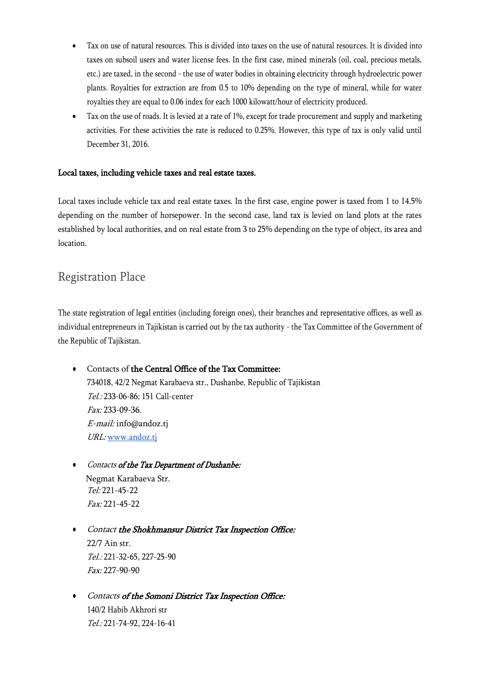- Tax on use of natural resources. This is divided into taxes on the use of natural resources. It is divided into taxes on subsoil users and water license fees. In the first case, mined minerals (oil, coal, precious metals, etc.) are taxed, in the second - the use of water bodies in obtaining electricity through hydroelectric power plants. Royalties for extraction are from 0.5 to 10% depending on the type of mineral, while for water royalties they are equal to 0.06 index for each 1000 kilowatt/hour of electricity produced.
- Tax on the use of roads. It is levied at a rate of 1%, except for trade procurement and supply and marketing activities. For these activities the rate is reduced to 0.25%. However, this type of tax is only valid until December 31, 2016.

#### Local taxes, including vehicle taxes and real estate taxes.

Local taxes include vehicle tax and real estate taxes. In the first case, engine power is taxed from 1 to 14.5% depending on the number of horsepower. In the second case, land tax is levied on land plots at the rates established by local authorities, and on real estate from 3 to 25% depending on the type of object, its area and location.

### Registration Place

The state registration of legal entities (including foreign ones), their branches and representative offices, as well as individual entrepreneurs in Tajikistan is carried out by the tax authority - the Tax Committee of the Government of the Republic of Tajikistan.

- Contacts of the Central Office of the Tax Committee: 734018, 42/2 Negmat Karabaeva str., Dushanbe, Republic of Tajikistan Tel.: 233-06-86; 151 Call-center Fax: 233-09-36. E-mail: [info@andoz.tj](mailto:info@andoz.tj) URL: [www.andoz.tj](http://www.andoz.tj/)
- Contacts of the Tax Department of Dushanbe: Negmat Karabaeva Str. Tel: 221-45-22 Fax: 221-45-22
- **•** Contact the Shokhmansur District Tax Inspection Office: 22/7 Ain str. Tel.: 221-32-65, 227-25-90 Fax: 227-90-90
- Contacts of the Somoni District Tax Inspection Office: 140/2 Habib Akhrori str Tel.: 221-74-92, 224-16-41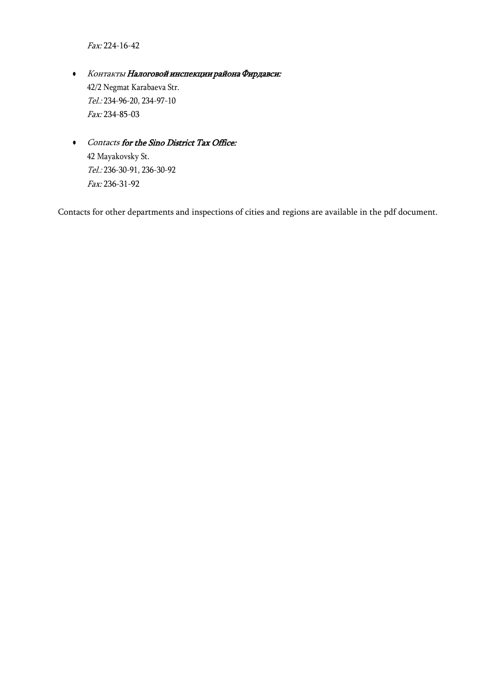Fax: 224-16-42

- Контакты Налоговой инспекции района Фирдавси: 42/2 Negmat Karabaeva Str. Tel.: 234-96-20, 234-97-10 Fax: 234-85-03
- Contacts for the Sino District Tax Office: 42 Mayakovsky St. Tel.: 236-30-91, 236-30-92 Fax: 236-31-92

Contacts for other departments and inspections of cities and regions are available in the pdf document.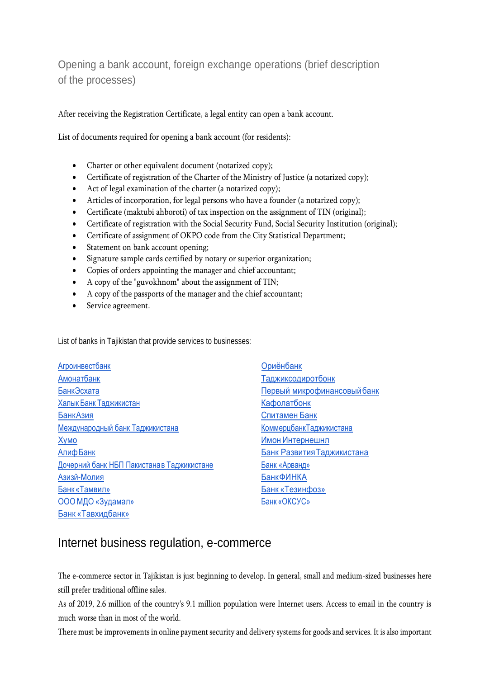Opening a bank account, foreign exchange operations (brief description of the processes)

After receiving the Registration Certificate, a legal entity can open a bank account.

List of documents required for opening a bank account (for residents):

- Charter or other equivalent document (notarized copy);
- Certificate of registration of the Charter of the Ministry of Justice (a notarized copy);
- Act of legal examination of the charter (a notarized copy);
- Articles of incorporation, for legal persons who have a founder (a notarized copy);
- Certificate (maktubi ahboroti) of tax inspection on the assignment of TIN (original);
- Certificate of registration with the Social Security Fund, Social Security Institution (original);
- Certificate of assignment of OKPO code from the City Statistical Department;
- Statement on bank account opening;
- Signature sample cards certified by notary or superior organization;
- Copies of orders appointing the manager and chief accountant;
- A copy of the "guvokhnom" about the assignment of TIN;
- A copy of the passports of the manager and the chief accountant;
- Service agreement.

List of banks in Tajikistan that provide services to businesses:

| <b>Агроинвестбанк</b>                      | Ориёнбанк                   |
|--------------------------------------------|-----------------------------|
| Амонатбанк                                 | Таджиксодиротбонк           |
| БанкЭсхата                                 | Первый микрофинансовый банк |
| Халык Банк Таджикистан                     | Кафолатбонк                 |
| БанкАзия                                   | Спитамен Банк               |
| Международный банк Таджикистана            | КоммерцбанкТаджикистана     |
| Хумо                                       | Имон Интернешнл             |
| Алиф Банк                                  | Банк Развития Таджикистана  |
| Дочерний банк НБП Пакистана в Таджикистане | Банк «Арванд»               |
| Азизй-Молия                                | <b>БанкФИНКА</b>            |
| Банк «Тамвил»                              | Банк «Тезинфоз»             |
| ООО МДО «Зудамал»                          | Банк «ОКСУС»                |
| Банк «Тавхидбанк»                          |                             |

#### Internet business regulation, e-commerce

The e-commerce sector in Tajikistan is just beginning to develop. In general, small and medium-sized businesses here still prefer traditional offline sales.

As of 2019, 2.6 million of the country's 9.1 million population were Internet users. Access to email in the country is much worse than in most of the world.

There must be improvements in online payment security and delivery systems for goods and services. It is also important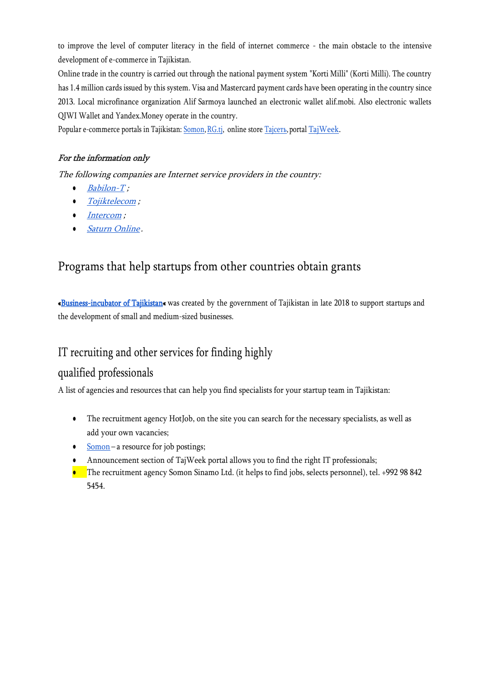to improve the level of computer literacy in the field of internet commerce - the main obstacle to the intensive development of e-commerce in Tajikistan.

Online trade in the country is carried out through the national payment system "Korti Milli" (Korti Milli). The country has 1.4 million cards issued by this system. Visa and Mastercard payment cards have been operating in the country since 2013. Local microfinance organization Alif Sarmoya launched an electronic wallet alif.mobi. Also electronic wallets QIWI Wallet and Yandex.Money operate in the country.

Popular e-commerce portals in Tajikistan: [Somon,RG.tj,](https://somon.tj/) online store Taj[сеть](http://tajset.tj/), portal [TajWeek.](http://tajweek.tj/)

#### For the information only

The following companies are Internet service providers in the country:

- $\bullet$  [Babilon-T](http://www.babilon-t.tj/);
- [Tojiktelecom](http://www.tajiktelecom.tj/) ;
- *[Intercom](http://www.intercom.tj/)*;
- [Saturn Online](http://www.saturn.tj/).

## Programs that help startups from other countries obtain grants

[«Business-incubator of Tajikistan«](https://bizincubator.tj/) was created by the government of Tajikistan in late 2018 to support startups and the development of small and medium-sized businesses.

## IT recruiting and other services for finding highly

### qualified professionals

A list of agencies and resources that can help you find specialists for your startup team in Tajikistan:

- The recruitment agency HotJob, on the site you can search for the necessary specialists, as well as add your own vacancies;
- [Somon](https://somon.tj/) a resource for job postings;
- Announcement section of TajWeek portal allows you to find the right IT professionals;
- The recruitment agency Somon Sinamo Ltd. (it helps to find jobs, selects personnel), tel. +992 98 842 5454.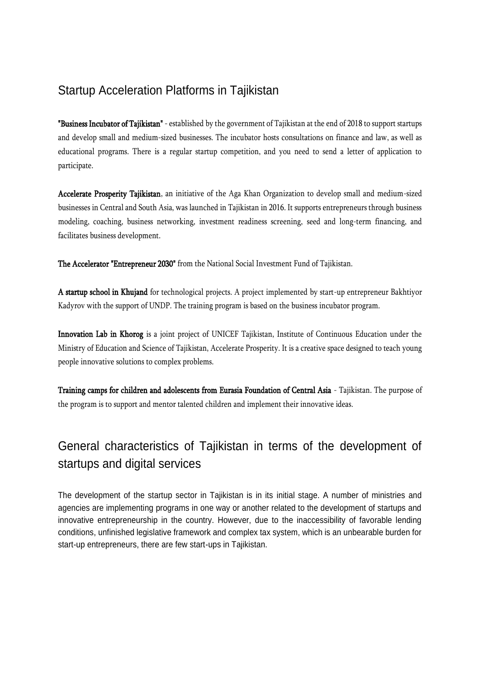## Startup Acceleration Platforms in Tajikistan

**"Business Incubator of Tajikistan"** - established by the government of Tajikistan at the end of 2018 to support startups and develop small and medium-sized businesses. The incubator hosts consultations on finance and law, as well as educational programs. There is a regular startup competition, and you need to send a letter of application to participate.

Accelerate Prosperity Tajikistan, an initiative of the Aga Khan Organization to develop small and medium-sized businesses in Central and South Asia, was launched in Tajikistan in 2016. It supports entrepreneurs through business modeling, coaching, business networking, investment readiness screening, seed and long-term financing, and facilitates business development.

The Accelerator "Entrepreneur 2030" from the National Social Investment Fund of Tajikistan.

A startup school in Khujand for technological projects. A project implemented by start-up entrepreneur Bakhtiyor Kadyrov with the support of UNDP. The training program is based on the business incubator program.

Innovation Lab in Khorog is a joint project of UNICEF Tajikistan, Institute of Continuous Education under the Ministry of Education and Science of Tajikistan, Accelerate Prosperity. It is a creative space designed to teach young people innovative solutions to complex problems.

Training camps for children and adolescents from Eurasia Foundation of Central Asia - Tajikistan. The purpose of the program is to support and mentor talented children and implement their innovative ideas.

# General characteristics of Tajikistan in terms of the development of startups and digital services

The development of the startup sector in Tajikistan is in its initial stage. A number of ministries and agencies are implementing programs in one way or another related to the development of startups and innovative entrepreneurship in the country. However, due to the inaccessibility of favorable lending conditions, unfinished legislative framework and complex tax system, which is an unbearable burden for start-up entrepreneurs, there are few start-ups in Tajikistan.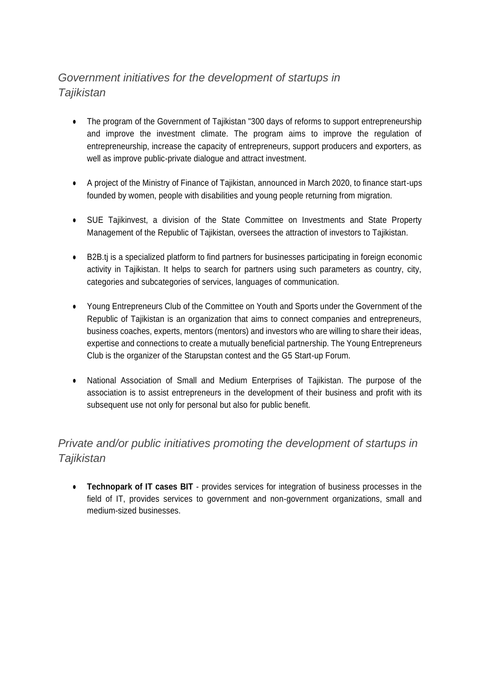## *Government initiatives for the development of startups in Tajikistan*

- The program of the Government of Tajikistan "300 days of reforms to support entrepreneurship and improve the investment climate. The program aims to improve the regulation of entrepreneurship, increase the capacity of entrepreneurs, support producers and exporters, as well as improve public-private dialogue and attract investment.
- A project of the Ministry of Finance of Tajikistan, announced in March 2020, to finance start-ups founded by women, people with disabilities and young people returning from migration.
- SUE Tajikinvest, a division of the State Committee on Investments and State Property Management of the Republic of Tajikistan, oversees the attraction of investors to Tajikistan.
- B2B.tj is a specialized platform to find partners for businesses participating in foreign economic activity in Tajikistan. It helps to search for partners using such parameters as country, city, categories and subcategories of services, languages of communication.
- Young Entrepreneurs Club of the Committee on Youth and Sports under the Government of the Republic of Tajikistan is an organization that aims to connect companies and entrepreneurs, business coaches, experts, mentors (mentors) and investors who are willing to share their ideas, expertise and connections to create a mutually beneficial partnership. The Young Entrepreneurs Club is the organizer of the Starupstan contest and the G5 Start-up Forum.
- National Association of Small and Medium Enterprises of Tajikistan. The purpose of the association is to assist entrepreneurs in the development of their business and profit with its subsequent use not only for personal but also for public benefit.

### *Private and/or public initiatives promoting the development of startups in Tajikistan*

**• Technopark of IT cases BIT** - provides services for integration of business processes in the field of IT, provides services to government and non-government organizations, small and medium-sized businesses.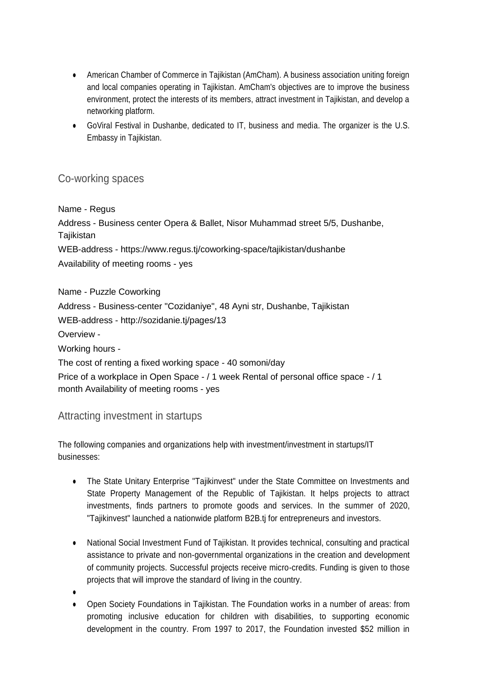- American Chamber of Commerce in Tajikistan (AmCham). A business association uniting foreign and local companies operating in Tajikistan. AmCham's objectives are to improve the business environment, protect the interests of its members, attract investment in Tajikistan, and develop a networking platform.
- GoViral Festival in Dushanbe, dedicated to IT, business and media. The organizer is the U.S. Embassy in Tajikistan.

#### Co-working spaces

#### Name - Regus

Address - Business center Opera & Ballet, Nisor Muhammad street 5/5, Dushanbe, **Tajikistan** WEB-address - https://www.regus.tj/coworking-space/tajikistan/dushanbe Availability of meeting rooms - yes

Name - Puzzle Coworking Address - Business-center "Cozidaniye", 48 Ayni str, Dushanbe, Tajikistan WEB-address - http://sozidanie.tj/pages/13 Overview - Working hours - The cost of renting a fixed working space - 40 somoni/day Price of a workplace in Open Space - / 1 week Rental of personal office space - / 1 month Availability of meeting rooms - yes

#### Attracting investment in startups

The following companies and organizations help with investment/investment in startups/IT businesses:

- The State Unitary Enterprise "Tajikinvest" under the State Committee on Investments and State Property Management of the Republic of Tajikistan. It helps projects to attract investments, finds partners to promote goods and services. In the summer of 2020, "Tajikinvest" launched a nationwide platform B2B.tj for entrepreneurs and investors.
- National Social Investment Fund of Tajikistan. It provides technical, consulting and practical assistance to private and non-governmental organizations in the creation and development of community projects. Successful projects receive micro-credits. Funding is given to those projects that will improve the standard of living in the country.
- ●
- Open Society Foundations in Tajikistan. The Foundation works in a number of areas: from promoting inclusive education for children with disabilities, to supporting economic development in the country. From 1997 to 2017, the Foundation invested \$52 million in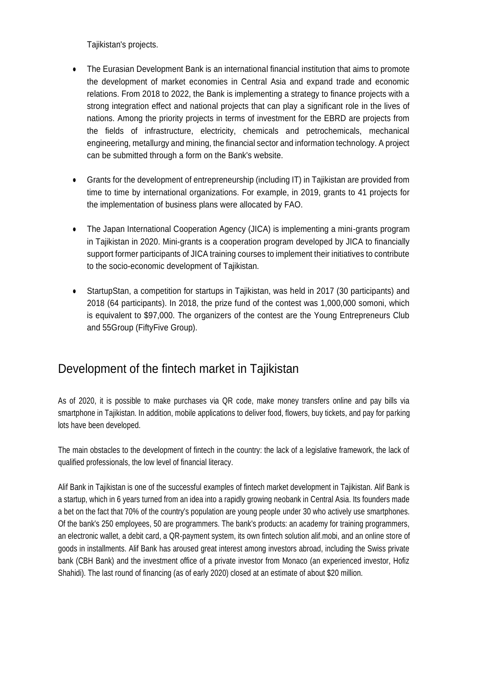Tajikistan's projects.

- The Eurasian Development Bank is an international financial institution that aims to promote the development of market economies in Central Asia and expand trade and economic relations. From 2018 to 2022, the Bank is implementing a strategy to finance projects with a strong integration effect and national projects that can play a significant role in the lives of nations. Among the priority projects in terms of investment for the EBRD are projects from the fields of infrastructure, electricity, chemicals and petrochemicals, mechanical engineering, metallurgy and mining, the financial sector and information technology. A project can be submitted through a form on the Bank's website.
- Grants for the development of entrepreneurship (including IT) in Tajikistan are provided from time to time by international organizations. For example, in 2019, grants to 41 projects for the implementation of business plans were allocated by FAO.
- The Japan International Cooperation Agency (JICA) is implementing a mini-grants program in Tajikistan in 2020. Mini-grants is a cooperation program developed by JICA to financially support former participants of JICA training courses to implement their initiatives to contribute to the socio-economic development of Tajikistan.
- StartupStan, a competition for startups in Tajikistan, was held in 2017 (30 participants) and 2018 (64 participants). In 2018, the prize fund of the contest was 1,000,000 somoni, which is equivalent to \$97,000. The organizers of the contest are the Young Entrepreneurs Club and 55Group (FiftyFive Group).

## Development of the fintech market in Tajikistan

As of 2020, it is possible to make purchases via QR code, make money transfers online and pay bills via smartphone in Tajikistan. In addition, mobile applications to deliver food, flowers, buy tickets, and pay for parking lots have been developed.

The main obstacles to the development of fintech in the country: the lack of a legislative framework, the lack of qualified professionals, the low level of financial literacy.

Alif Bank in Tajikistan is one of the successful examples of fintech market development in Tajikistan. Alif Bank is a startup, which in 6 years turned from an idea into a rapidly growing neobank in Central Asia. Its founders made a bet on the fact that 70% of the country's population are young people under 30 who actively use smartphones. Of the bank's 250 employees, 50 are programmers. The bank's products: an academy for training programmers, an electronic wallet, a debit card, a QR-payment system, its own fintech solution alif.mobi, and an online store of goods in installments. Alif Bank has aroused great interest among investors abroad, including the Swiss private bank (CBH Bank) and the investment office of a private investor from Monaco (an experienced investor, Hofiz Shahidi). The last round of financing (as of early 2020) closed at an estimate of about \$20 million.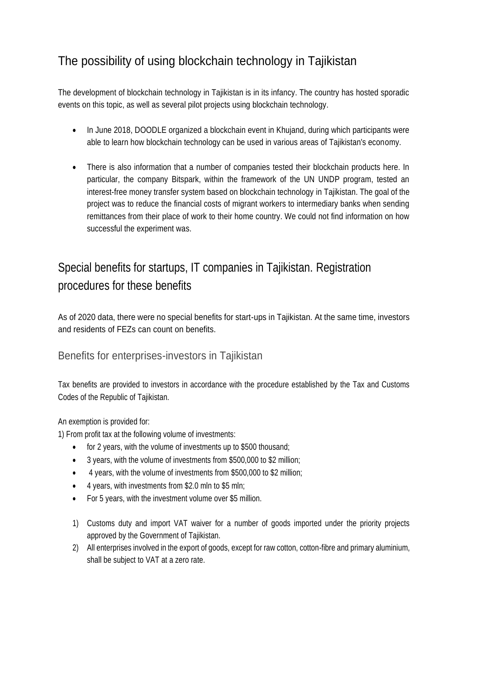# The possibility of using blockchain technology in Tajikistan

The development of blockchain technology in Tajikistan is in its infancy. The country has hosted sporadic events on this topic, as well as several pilot projects using blockchain technology.

- In June 2018, DOODLE organized a blockchain event in Khujand, during which participants were able to learn how blockchain technology can be used in various areas of Tajikistan's economy.
- There is also information that a number of companies tested their blockchain products here. In particular, the company Bitspark, within the framework of the UN UNDP program, tested an interest-free money transfer system based on blockchain technology in Tajikistan. The goal of the project was to reduce the financial costs of migrant workers to intermediary banks when sending remittances from their place of work to their home country. We could not find information on how successful the experiment was.

# Special benefits for startups, IT companies in Tajikistan. Registration procedures for these benefits

As of 2020 data, there were no special benefits for start-ups in Tajikistan. At the same time, investors and residents of FEZs can count on benefits.

### Benefits for enterprises-investors in Tajikistan

Tax benefits are provided to investors in accordance with the procedure established by the Tax and Customs Codes of the Republic of Tajikistan.

#### An exemption is provided for:

1) From profit tax at the following volume of investments:

- for 2 years, with the volume of investments up to \$500 thousand;
- 3 years, with the volume of investments from \$500,000 to \$2 million;
- 4 years, with the volume of investments from \$500,000 to \$2 million;
- 4 years, with investments from \$2.0 mln to \$5 mln;
- For 5 years, with the investment volume over \$5 million.
- 1) Customs duty and import VAT waiver for a number of goods imported under the priority projects approved by the Government of Tajikistan.
- 2) All enterprises involved in the export of goods, except for raw cotton, cotton-fibre and primary aluminium, shall be subject to VAT at a zero rate.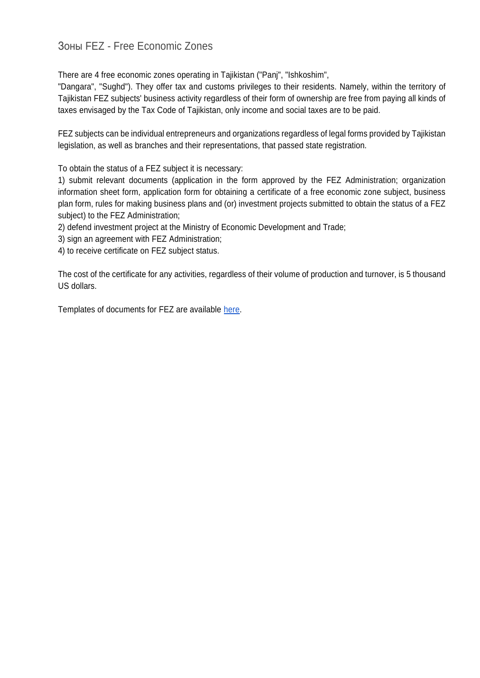### Зоны FEZ - Free Economic Zones

There are 4 free economic zones operating in Tajikistan ("Panj", "Ishkoshim",

"Dangara", "Sughd"). They offer tax and customs privileges to their residents. Namely, within the territory of Tajikistan FEZ subjects' business activity regardless of their form of ownership are free from paying all kinds of taxes envisaged by the Tax Code of Tajikistan, only income and social taxes are to be paid.

FEZ subjects can be individual entrepreneurs and organizations regardless of legal forms provided by Tajikistan legislation, as well as branches and their representations, that passed state registration.

To obtain the status of a FEZ subject it is necessary:

1) submit relevant documents (application in the form approved by the FEZ Administration; organization information sheet form, application form for obtaining a certificate of a free economic zone subject, business plan form, rules for making business plans and (or) investment projects submitted to obtain the status of a FEZ subject) to the FEZ Administration;

2) defend investment project at the Ministry of Economic Development and Trade;

3) sign an agreement with FEZ Administration;

4) to receive certificate on FEZ subject status.

The cost of the certificate for any activities, regardless of their volume of production and turnover, is 5 thousand US dollars.

Templates of documents for FEZ are available [here.](http://fez.tj/subject/23-stat-subektom-sez.html)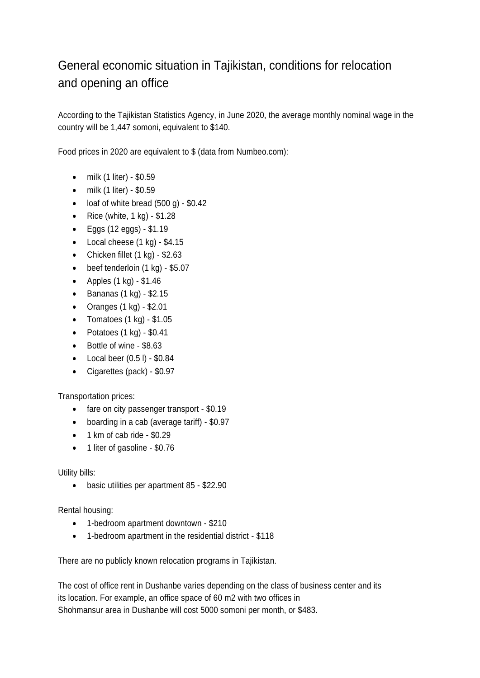# General economic situation in Tajikistan, conditions for relocation and opening an office

According to the Tajikistan Statistics Agency, in June 2020, the average monthly nominal wage in the country will be 1,447 somoni, equivalent to \$140.

Food prices in 2020 are equivalent to \$ (data from Numbeo.com):

- milk (1 liter) \$0.59
- milk (1 liter) \$0.59
- $\bullet$  loaf of white bread (500 g) \$0.42
- Rice (white,  $1$  kg)  $-$  \$1.28
- $\bullet$  Eggs (12 eggs) \$1.19
- $\bullet$  Local cheese (1 kg) \$4.15
- Chicken fillet  $(1 \text{ kg}) $2.63$
- $\bullet$  beef tenderloin  $(1 \text{ kg}) $5.07$
- Apples  $(1 \text{ kg}) $1.46$
- $\bullet$  Bananas (1 kg) \$2.15
- Oranges  $(1 \text{ kg}) $2.01$
- Tomatoes  $(1 \text{ kg}) $1.05$
- Potatoes  $(1 \text{ kg}) $0.41$
- Bottle of wine \$8.63
- $\bullet$  Local beer  $(0.5 \, I)$  \$0.84
- Cigarettes (pack) \$0.97

Transportation prices:

- fare on city passenger transport \$0.19
- boarding in a cab (average tariff) \$0.97
- $\bullet$  1 km of cab ride \$0.29
- 1 liter of gasoline \$0.76

Utility bills:

basic utilities per apartment 85 - \$22.90

Rental housing:

- 1-bedroom apartment downtown \$210
- 1-bedroom apartment in the residential district \$118

There are no publicly known relocation programs in Tajikistan.

The cost of office rent in Dushanbe varies depending on the class of business center and its its location. For example, an office space of 60 m2 with two offices in Shohmansur area in Dushanbe will cost 5000 somoni per month, or \$483.